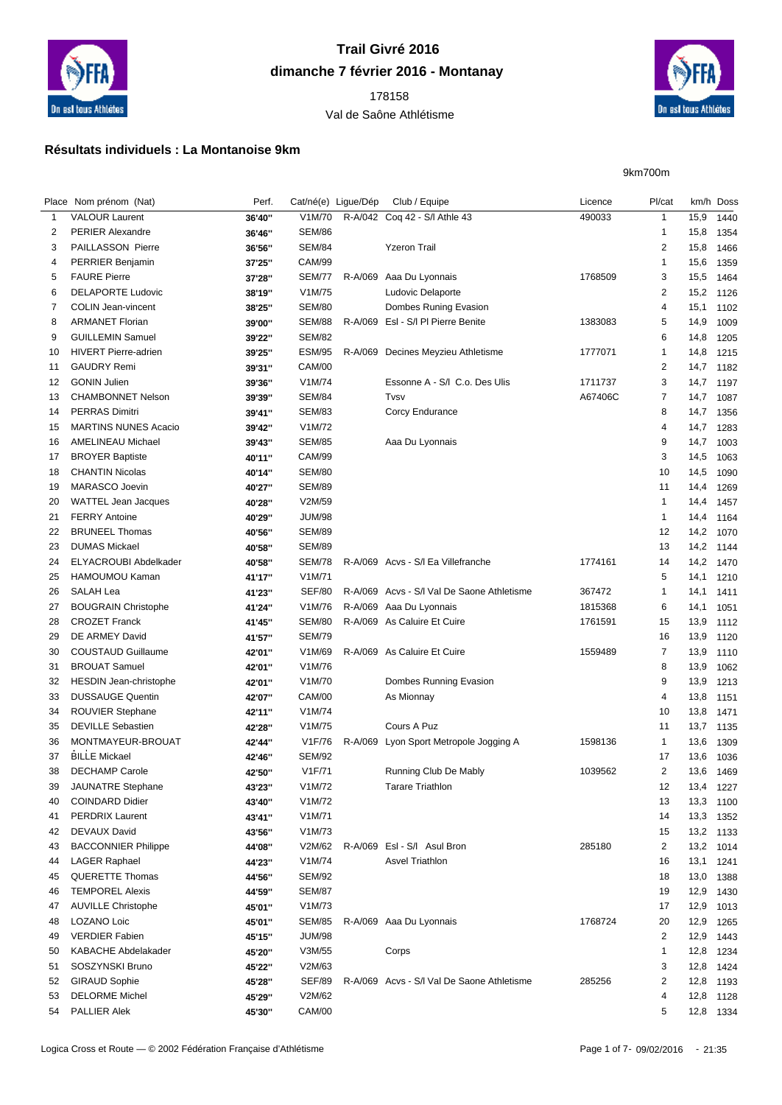

## **Trail Givré 2016 dimanche 7 février 2016 - Montanay**

## Val de Saône Athlétisme



## **Résultats individuels : La Montanoise 9km**

9km700m

|          | Place Nom prénom (Nat)             | Perf.  | Cat/né(e) Ligue/Dép |         | Club / Equipe                              | Licence | Pl/cat                  | km/h Doss |      |
|----------|------------------------------------|--------|---------------------|---------|--------------------------------------------|---------|-------------------------|-----------|------|
| 1        | <b>VALOUR Laurent</b>              | 36'40" | V1M/70              |         | R-A/042 Coq 42 - S/I Athle 43              | 490033  | $\mathbf{1}$            | 15,9      | 1440 |
| 2        | <b>PERIER Alexandre</b>            | 36'46" | <b>SEM/86</b>       |         |                                            |         | 1                       | 15,8      | 1354 |
| 3        | <b>PAILLASSON Pierre</b>           | 36'56" | <b>SEM/84</b>       |         | <b>Yzeron Trail</b>                        |         | $\overline{\mathbf{c}}$ | 15,8      | 1466 |
| 4        | <b>PERRIER Benjamin</b>            | 37'25" | <b>CAM/99</b>       |         |                                            |         | 1                       | 15,6      | 1359 |
| 5        | <b>FAURE Pierre</b>                | 37'28" | SEM/77              | R-A/069 | Aaa Du Lyonnais                            | 1768509 | 3                       | 15,5      | 1464 |
| 6        | <b>DELAPORTE Ludovic</b>           | 38'19" | V1M/75              |         | Ludovic Delaporte                          |         | $\overline{\mathbf{c}}$ | 15,2      | 1126 |
| 7        | <b>COLIN Jean-vincent</b>          | 38'25" | <b>SEM/80</b>       |         | Dombes Runing Evasion                      |         | 4                       | 15,1      | 1102 |
| 8        | <b>ARMANET Florian</b>             | 39'00" | <b>SEM/88</b>       |         | R-A/069 Esl - S/I PI Pierre Benite         | 1383083 | 5                       | 14,9      | 1009 |
| 9        | <b>GUILLEMIN Samuel</b>            | 39'22" | <b>SEM/82</b>       |         |                                            |         | 6                       | 14,8      | 1205 |
| 10       | <b>HIVERT Pierre-adrien</b>        | 39'25" | <b>ESM/95</b>       | R-A/069 | Decines Meyzieu Athletisme                 | 1777071 | 1                       | 14,8      | 1215 |
| 11       | <b>GAUDRY Remi</b>                 | 39'31" | <b>CAM/00</b>       |         |                                            |         | $\overline{\mathbf{c}}$ | 14,7      | 1182 |
| 12       | <b>GONIN Julien</b>                | 39'36" | V1M/74              |         | Essonne A - S/I C.o. Des Ulis              | 1711737 | 3                       | 14,7      | 1197 |
| 13       | <b>CHAMBONNET Nelson</b>           | 39'39" | <b>SEM/84</b>       |         | Tvsv                                       | A67406C | 7                       | 14,7      | 1087 |
| 14       | <b>PERRAS Dimitri</b>              | 39'41" | <b>SEM/83</b>       |         | Corcy Endurance                            |         | 8                       | 14,7      | 1356 |
| 15       | <b>MARTINS NUNES Acacio</b>        | 39'42" | V1M/72              |         |                                            |         | 4                       | 14,7      | 1283 |
| 16       | <b>AMELINEAU Michael</b>           | 39'43" | <b>SEM/85</b>       |         | Aaa Du Lyonnais                            |         | 9                       | 14,7      | 1003 |
| 17       | <b>BROYER Baptiste</b>             | 40'11" | <b>CAM/99</b>       |         |                                            |         | 3                       | 14,5      | 1063 |
| 18       | <b>CHANTIN Nicolas</b>             | 40'14" | <b>SEM/80</b>       |         |                                            |         | 10                      | 14,5      | 1090 |
| 19       | MARASCO Joevin                     | 40'27" | <b>SEM/89</b>       |         |                                            |         | 11                      | 14,4      | 1269 |
| 20       | <b>WATTEL Jean Jacques</b>         | 40'28" | V2M/59              |         |                                            |         | 1                       | 14,4      | 1457 |
| 21       | <b>FERRY Antoine</b>               | 40'29" | <b>JUM/98</b>       |         |                                            |         | 1                       | 14,4      | 1164 |
| 22       | <b>BRUNEEL Thomas</b>              | 40'56" | <b>SEM/89</b>       |         |                                            |         | 12                      | 14,2      | 1070 |
| 23       | <b>DUMAS Mickael</b>               | 40'58" | <b>SEM/89</b>       |         |                                            |         | 13                      | 14,2 1144 |      |
| 24       | ELYACROUBI Abdelkader              |        | <b>SEM/78</b>       |         | R-A/069 Acvs - S/I Ea Villefranche         | 1774161 | 14                      | 14,2 1470 |      |
|          |                                    | 40'58" | V1M/71              |         |                                            |         |                         |           |      |
| 25<br>26 | HAMOUMOU Kaman<br><b>SALAH Lea</b> | 41'17" | <b>SEF/80</b>       |         | R-A/069 Acvs - S/I Val De Saone Athletisme | 367472  | 5<br>1                  | 14,1      | 1210 |
|          |                                    | 41'23" | V1M/76              |         |                                            | 1815368 | 6                       | 14,1      | 1411 |
| 27       | <b>BOUGRAIN Christophe</b>         | 41'24" |                     |         | R-A/069 Aaa Du Lyonnais                    |         |                         | 14,1      | 1051 |
| 28       | <b>CROZET Franck</b>               | 41'45" | <b>SEM/80</b>       |         | R-A/069 As Caluire Et Cuire                | 1761591 | 15                      | 13,9      | 1112 |
| 29       | DE ARMEY David                     | 41'57" | <b>SEM/79</b>       |         |                                            |         | 16                      | 13,9      | 1120 |
| 30       | <b>COUSTAUD Guillaume</b>          | 42'01" | V1M/69              |         | R-A/069 As Caluire Et Cuire                | 1559489 | 7                       | 13,9      | 1110 |
| 31       | <b>BROUAT Samuel</b>               | 42'01" | V1M/76              |         |                                            |         | 8                       | 13,9      | 1062 |
| 32       | <b>HESDIN Jean-christophe</b>      | 42'01" | V1M/70              |         | Dombes Running Evasion                     |         | 9                       | 13,9      | 1213 |
| 33       | <b>DUSSAUGE Quentin</b>            | 42'07" | <b>CAM/00</b>       |         | As Mionnay                                 |         | 4                       | 13,8      | 1151 |
| 34       | <b>ROUVIER Stephane</b>            | 42'11" | V1M/74              |         |                                            |         | 10                      | 13,8      | 1471 |
| 35       | <b>DEVILLE Sebastien</b>           | 42'28" | V1M/75              |         | Cours A Puz                                |         | 11                      | 13,7      | 1135 |
| 36       | MONTMAYEUR-BROUAT                  | 42'44" | V1F/76              | R-A/069 | Lyon Sport Metropole Jogging A             | 1598136 | $\mathbf{1}$            | 13,6      | 1309 |
| 37       | <b>BILLE Mickael</b>               | 42'46" | <b>SEM/92</b>       |         |                                            |         | 17                      | 13,6      | 1036 |
| 38       | <b>DECHAMP Carole</b>              | 42'50" | V1F/71              |         | Running Club De Mably                      | 1039562 | $\overline{2}$          | 13,6      | 1469 |
| 39       | JAUNATRE Stephane                  | 43'23" | V1M/72              |         | <b>Tarare Triathlon</b>                    |         | 12                      | 13,4 1227 |      |
| 40       | <b>COINDARD Didier</b>             | 43'40" | V1M/72              |         |                                            |         | 13                      | 13,3      | 1100 |
| 41       | <b>PERDRIX Laurent</b>             | 43'41" | V1M/71              |         |                                            |         | 14                      | 13,3      | 1352 |
| 42       | DEVAUX David                       | 43'56" | V1M/73              |         |                                            |         | 15                      | 13,2 1133 |      |
| 43       | <b>BACCONNIER Philippe</b>         | 44'08" | V2M/62              |         | R-A/069 Esl - S/I Asul Bron                | 285180  | $\overline{\mathbf{c}}$ | 13,2 1014 |      |
| 44       | <b>LAGER Raphael</b>               | 44'23" | V1M/74              |         | <b>Asvel Triathlon</b>                     |         | 16                      | 13,1      | 1241 |
| 45       | <b>QUERETTE Thomas</b>             | 44'56" | <b>SEM/92</b>       |         |                                            |         | 18                      | 13,0      | 1388 |
| 46       | <b>TEMPOREL Alexis</b>             | 44'59" | <b>SEM/87</b>       |         |                                            |         | 19                      | 12,9      | 1430 |
| 47       | <b>AUVILLE Christophe</b>          | 45'01" | V1M/73              |         |                                            |         | 17                      | 12,9      | 1013 |
| 48       | LOZANO Loic                        | 45'01" | <b>SEM/85</b>       |         | R-A/069 Aaa Du Lyonnais                    | 1768724 | 20                      | 12,9      | 1265 |
| 49       | <b>VERDIER Fabien</b>              | 45'15" | <b>JUM/98</b>       |         |                                            |         | $\overline{\mathbf{c}}$ | 12,9      | 1443 |
| 50       | <b>KABACHE Abdelakader</b>         | 45'20" | V3M/55              |         | Corps                                      |         | 1                       | 12,8      | 1234 |
| 51       | SOSZYNSKI Bruno                    | 45'22" | V2M/63              |         |                                            |         | 3                       | 12,8      | 1424 |
| 52       | <b>GIRAUD Sophie</b>               | 45'28" | SEF/89              |         | R-A/069 Acvs - S/I Val De Saone Athletisme | 285256  | 2                       | 12,8      | 1193 |
| 53       | <b>DELORME Michel</b>              | 45'29" | V2M/62              |         |                                            |         | 4                       | 12,8 1128 |      |
| 54       | PALLIER Alek                       | 45'30" | <b>CAM/00</b>       |         |                                            |         | 5                       | 12,8 1334 |      |
|          |                                    |        |                     |         |                                            |         |                         |           |      |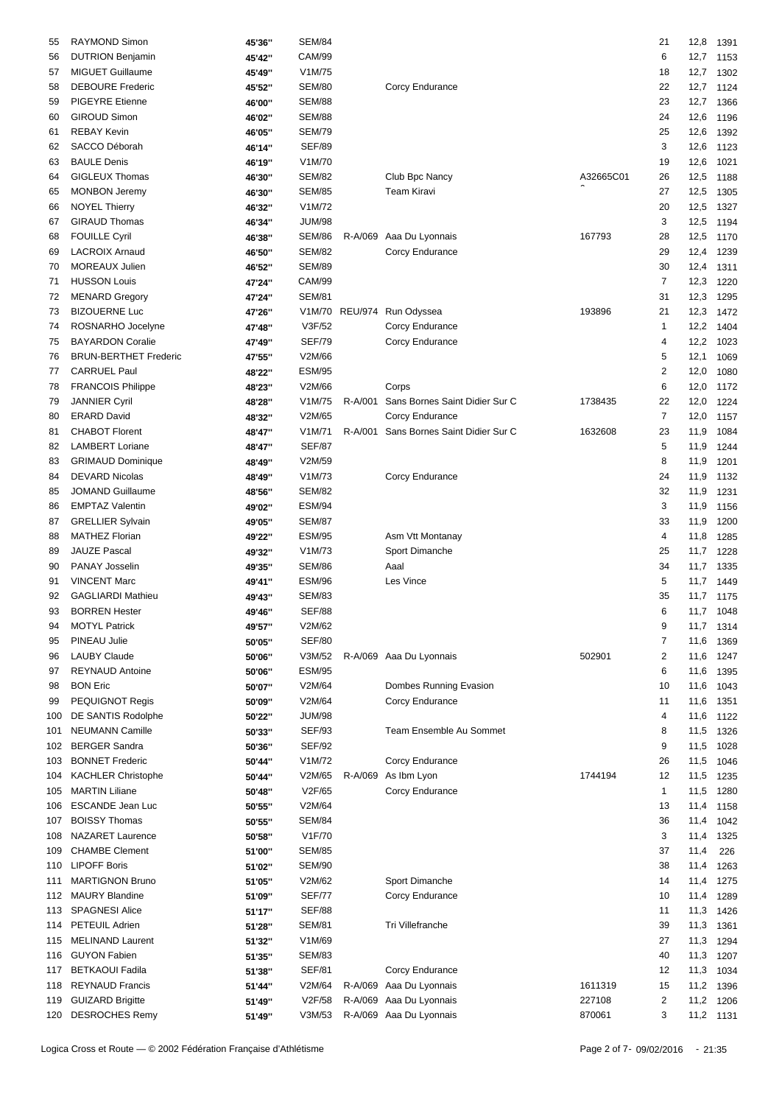| 55  | RAYMOND Simon                | 45'36" | <b>SEM/84</b> |         |                                        |           | 21                      | 12,8      | 1391 |
|-----|------------------------------|--------|---------------|---------|----------------------------------------|-----------|-------------------------|-----------|------|
| 56  | <b>DUTRION Benjamin</b>      | 45'42" | <b>CAM/99</b> |         |                                        |           | 6                       | 12,7      | 1153 |
|     | <b>MIGUET Guillaume</b>      |        | V1M/75        |         |                                        |           |                         | 12,7      |      |
| 57  |                              | 45'49" |               |         |                                        |           | 18                      |           | 1302 |
| 58  | <b>DEBOURE Frederic</b>      | 45'52" | <b>SEM/80</b> |         | Corcy Endurance                        |           | 22                      | 12,7      | 1124 |
| 59  | PIGEYRE Etienne              | 46'00" | <b>SEM/88</b> |         |                                        |           | 23                      | 12,7      | 1366 |
| 60  | <b>GIROUD Simon</b>          | 46'02" | <b>SEM/88</b> |         |                                        |           | 24                      | 12,6      | 1196 |
| 61  | <b>REBAY Kevin</b>           | 46'05" | <b>SEM/79</b> |         |                                        |           | 25                      | 12,6      | 1392 |
| 62  | SACCO Déborah                | 46'14" | <b>SEF/89</b> |         |                                        |           | 3                       | 12,6      | 1123 |
| 63  | <b>BAULE Denis</b>           | 46'19" | V1M/70        |         |                                        |           | 19                      | 12,6      | 1021 |
| 64  | GIGLEUX Thomas               | 46'30" | <b>SEM/82</b> |         | Club Bpc Nancy                         | A32665C01 | 26                      | 12,5      | 1188 |
|     | <b>MONBON Jeremy</b>         |        | <b>SEM/85</b> |         | Team Kiravi                            |           | 27                      | 12,5      |      |
| 65  |                              | 46'30" |               |         |                                        |           |                         |           | 1305 |
| 66  | <b>NOYEL Thierry</b>         | 46'32" | V1M/72        |         |                                        |           | 20                      | 12,5      | 1327 |
| 67  | <b>GIRAUD Thomas</b>         | 46'34" | <b>JUM/98</b> |         |                                        |           | 3                       | 12,5      | 1194 |
| 68  | <b>FOUILLE Cyril</b>         | 46'38" | <b>SEM/86</b> |         | R-A/069 Aaa Du Lyonnais                | 167793    | 28                      | 12,5      | 1170 |
| 69  | <b>LACROIX Arnaud</b>        | 46'50" | <b>SEM/82</b> |         | Corcy Endurance                        |           | 29                      | 12,4      | 1239 |
| 70  | <b>MOREAUX Julien</b>        | 46'52" | <b>SEM/89</b> |         |                                        |           | 30                      | 12,4      | 1311 |
| 71  | <b>HUSSON Louis</b>          | 47'24" | <b>CAM/99</b> |         |                                        |           | $\overline{7}$          | 12,3      | 1220 |
| 72  | <b>MENARD Gregory</b>        | 47'24" | <b>SEM/81</b> |         |                                        |           | 31                      | 12,3      | 1295 |
| 73  | <b>BIZOUERNE Luc</b>         |        | V1M/70        |         | REU/974 Run Odyssea                    | 193896    | 21                      | 12,3      | 1472 |
|     |                              | 47'26" |               |         |                                        |           |                         |           |      |
| 74  | ROSNARHO Jocelyne            | 47'48" | V3F/52        |         | Corcy Endurance                        |           | 1                       | 12,2      | 1404 |
| 75  | <b>BAYARDON Coralie</b>      | 47'49" | <b>SEF/79</b> |         | Corcy Endurance                        |           | 4                       | 12,2      | 1023 |
| 76  | <b>BRUN-BERTHET Frederic</b> | 47'55" | V2M/66        |         |                                        |           | 5                       | 12,1      | 1069 |
| 77  | <b>CARRUEL Paul</b>          | 48'22" | <b>ESM/95</b> |         |                                        |           | $\overline{\mathbf{c}}$ | 12,0      | 1080 |
| 78  | FRANCOIS Philippe            | 48'23" | V2M/66        |         | Corps                                  |           | 6                       | 12,0      | 1172 |
| 79  | <b>JANNIER Cyril</b>         | 48'28" | V1M/75        |         | R-A/001 Sans Bornes Saint Didier Sur C | 1738435   | 22                      | 12,0      | 1224 |
| 80  | <b>ERARD David</b>           | 48'32" | V2M/65        |         | Corcy Endurance                        |           | $\overline{7}$          | 12,0      | 1157 |
|     | <b>CHABOT Florent</b>        |        |               | R-A/001 | Sans Bornes Saint Didier Sur C         | 1632608   |                         | 11,9      |      |
| 81  |                              | 48'47" | V1M/71        |         |                                        |           | 23                      |           | 1084 |
| 82  | <b>LAMBERT Loriane</b>       | 48'47" | <b>SEF/87</b> |         |                                        |           | 5                       | 11,9      | 1244 |
| 83  | <b>GRIMAUD Dominique</b>     | 48'49" | V2M/59        |         |                                        |           | 8                       | 11,9      | 1201 |
| 84  | <b>DEVARD Nicolas</b>        | 48'49" | V1M/73        |         | Corcy Endurance                        |           | 24                      | 11,9      | 1132 |
| 85  | <b>JOMAND Guillaume</b>      | 48'56" | <b>SEM/82</b> |         |                                        |           | 32                      | 11,9      | 1231 |
| 86  | <b>EMPTAZ Valentin</b>       | 49'02" | <b>ESM/94</b> |         |                                        |           | 3                       | 11,9      | 1156 |
| 87  | <b>GRELLIER Sylvain</b>      | 49'05" | <b>SEM/87</b> |         |                                        |           | 33                      | 11,9      | 1200 |
| 88  | <b>MATHEZ Florian</b>        | 49'22" | <b>ESM/95</b> |         | Asm Vtt Montanay                       |           | 4                       | 11,8      | 1285 |
| 89  | <b>JAUZE Pascal</b>          |        | V1M/73        |         | Sport Dimanche                         |           | 25                      | 11,7      | 1228 |
|     | PANAY Josselin               | 49'32" |               |         |                                        |           |                         |           |      |
| 90  |                              | 49'35" | <b>SEM/86</b> |         | Aaal                                   |           | 34                      | 11,7      | 1335 |
| 91  | <b>VINCENT Marc</b>          | 49'41" | <b>ESM/96</b> |         | Les Vince                              |           | 5                       | 11,7      | 1449 |
| 92  | <b>GAGLIARDI Mathieu</b>     | 49'43" | <b>SEM/83</b> |         |                                        |           | 35                      | 11,7 1175 |      |
| 93  | <b>BORREN Hester</b>         | 49'46" | <b>SEF/88</b> |         |                                        |           | 6                       | 11,7 1048 |      |
| 94  | <b>MOTYL Patrick</b>         | 49'57" | V2M/62        |         |                                        |           | 9                       | 11,7 1314 |      |
| 95  | PINEAU Julie                 | 50'05" | <b>SEF/80</b> |         |                                        |           | $\overline{7}$          | 11,6      | 1369 |
| 96  | <b>LAUBY Claude</b>          | 50'06" | V3M/52        |         | R-A/069 Aaa Du Lyonnais                | 502901    | 2                       | 11,6      | 1247 |
| 97  | <b>REYNAUD Antoine</b>       | 50'06" | <b>ESM/95</b> |         |                                        |           | 6                       | 11,6      | 1395 |
|     | <b>BON Eric</b>              |        | V2M/64        |         | Dombes Running Evasion                 |           |                         |           |      |
| 98  |                              | 50'07" |               |         |                                        |           | 10                      | 11,6      | 1043 |
| 99  | PEQUIGNOT Regis              | 50'09" | V2M/64        |         | Corcy Endurance                        |           | 11                      | 11,6      | 1351 |
| 100 | DE SANTIS Rodolphe           | 50'22" | <b>JUM/98</b> |         |                                        |           | 4                       | 11,6      | 1122 |
| 101 | <b>NEUMANN Camille</b>       | 50'33" | <b>SEF/93</b> |         | Team Ensemble Au Sommet                |           | 8                       | 11,5      | 1326 |
| 102 | <b>BERGER Sandra</b>         | 50'36" | <b>SEF/92</b> |         |                                        |           | 9                       | 11,5      | 1028 |
| 103 | <b>BONNET Frederic</b>       | 50'44" | V1M/72        |         | Corcy Endurance                        |           | 26                      | 11,5      | 1046 |
| 104 | <b>KACHLER Christophe</b>    | 50'44" | V2M/65        |         | R-A/069 As Ibm Lyon                    | 1744194   | 12                      | 11,5      | 1235 |
| 105 | <b>MARTIN Liliane</b>        | 50'48" | V2F/65        |         | Corcy Endurance                        |           | $\mathbf{1}$            | 11,5      | 1280 |
| 106 | <b>ESCANDE Jean Luc</b>      | 50'55" | V2M/64        |         |                                        |           | 13                      | 11,4      | 1158 |
| 107 | <b>BOISSY Thomas</b>         |        | <b>SEM/84</b> |         |                                        |           | 36                      | 11,4      | 1042 |
|     |                              | 50'55" |               |         |                                        |           |                         |           |      |
| 108 | <b>NAZARET Laurence</b>      | 50'58" | V1F/70        |         |                                        |           | 3                       | 11,4      | 1325 |
| 109 | <b>CHAMBE Clement</b>        | 51'00" | <b>SEM/85</b> |         |                                        |           | 37                      | 11,4      | 226  |
| 110 | <b>LIPOFF Boris</b>          | 51'02" | <b>SEM/90</b> |         |                                        |           | 38                      | 11,4      | 1263 |
| 111 | <b>MARTIGNON Bruno</b>       | 51'05" | V2M/62        |         | Sport Dimanche                         |           | 14                      | 11,4      | 1275 |
|     | 112 MAURY Blandine           | 51'09" | <b>SEF/77</b> |         | Corcy Endurance                        |           | 10                      | 11,4      | 1289 |
| 113 | <b>SPAGNESI Alice</b>        | 51'17" | <b>SEF/88</b> |         |                                        |           | 11                      | 11,3      | 1426 |
| 114 | PETEUIL Adrien               | 51'28" | <b>SEM/81</b> |         | Tri Villefranche                       |           | 39                      | 11,3      | 1361 |
| 115 | <b>MELINAND Laurent</b>      |        | V1M/69        |         |                                        |           | 27                      | 11,3      | 1294 |
|     |                              | 51'32" |               |         |                                        |           |                         |           |      |
| 116 | <b>GUYON Fabien</b>          | 51'35" | <b>SEM/83</b> |         |                                        |           | 40                      | 11,3      | 1207 |
| 117 | <b>BETKAOUI Fadila</b>       | 51'38" | <b>SEF/81</b> |         | Corcy Endurance                        |           | 12                      | 11,3      | 1034 |
| 118 | <b>REYNAUD Francis</b>       | 51'44" | V2M/64        |         | R-A/069 Aaa Du Lyonnais                | 1611319   | 15                      | 11,2 1396 |      |
| 119 | <b>GUIZARD Brigitte</b>      | 51'49" | V2F/58        |         | R-A/069 Aaa Du Lyonnais                | 227108    | 2                       | 11,2      | 1206 |
|     | 120 DESROCHES Remy           | 51'49" | V3M/53        |         | R-A/069 Aaa Du Lyonnais                | 870061    | 3                       | 11,2 1131 |      |
|     |                              |        |               |         |                                        |           |                         |           |      |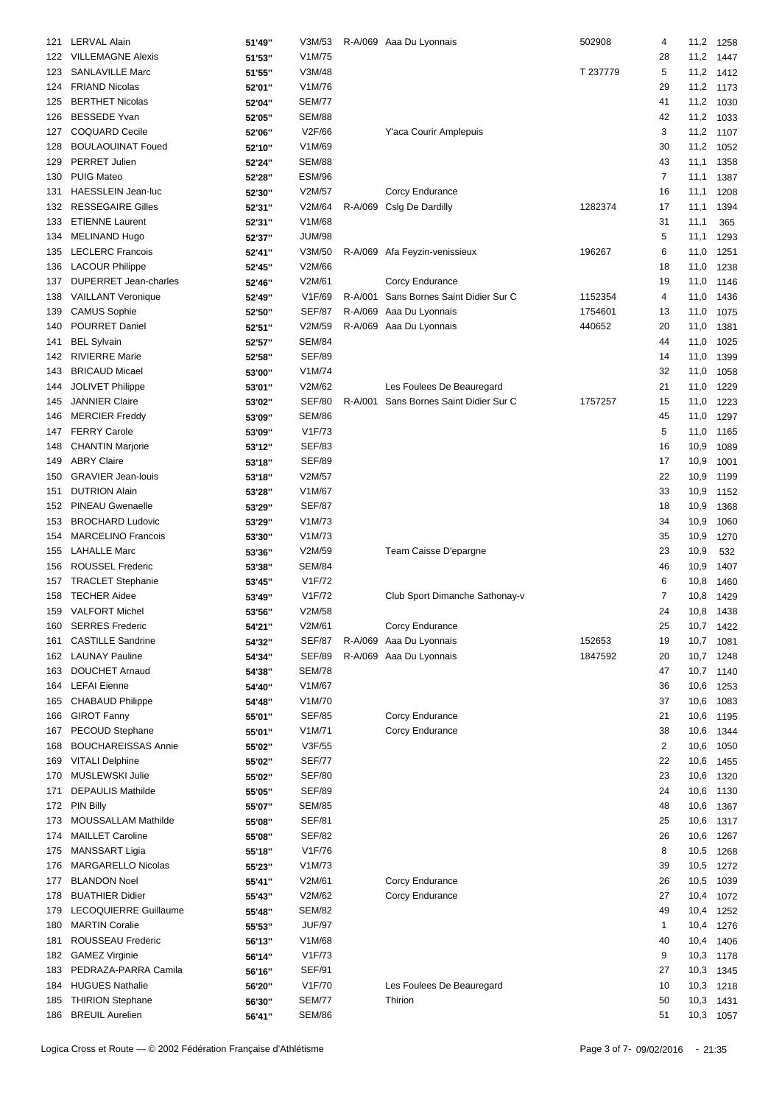| 121 | <b>LERVAL Alain</b>        | 51'49" | V3M/53        |         | R-A/069 Aaa Du Lyonnais        | 502908   | 4              | 11,2      | 1258 |
|-----|----------------------------|--------|---------------|---------|--------------------------------|----------|----------------|-----------|------|
| 122 | <b>VILLEMAGNE Alexis</b>   | 51'53" | V1M/75        |         |                                |          | 28             | 11,2      | 1447 |
| 123 | <b>SANLAVILLE Marc</b>     | 51'55" | V3M/48        |         |                                | T 237779 | 5              | 11,2      | 1412 |
| 124 | <b>FRIAND Nicolas</b>      | 52'01" | V1M/76        |         |                                |          | 29             | 11,2      | 1173 |
|     |                            |        |               |         |                                |          |                |           |      |
| 125 | <b>BERTHET Nicolas</b>     | 52'04" | <b>SEM/77</b> |         |                                |          | 41             | 11,2      | 1030 |
| 126 | <b>BESSEDE Yvan</b>        | 52'05" | <b>SEM/88</b> |         |                                |          | 42             | 11,2      | 1033 |
| 127 | <b>COQUARD Cecile</b>      | 52'06" | V2F/66        |         | Y'aca Courir Amplepuis         |          | 3              | 11,2      | 1107 |
| 128 | <b>BOULAOUINAT Foued</b>   | 52'10" | V1M/69        |         |                                |          | 30             | 11,2      | 1052 |
| 129 | <b>PERRET Julien</b>       | 52'24" | <b>SEM/88</b> |         |                                |          | 43             | 11,1      | 1358 |
| 130 | <b>PUIG Mateo</b>          | 52'28" | <b>ESM/96</b> |         |                                |          | 7              | 11,1      | 1387 |
| 131 | <b>HAESSLEIN Jean-luc</b>  | 52'30" | V2M/57        |         | Corcy Endurance                |          | 16             | 11,1      | 1208 |
|     |                            |        |               |         |                                |          |                |           |      |
| 132 | <b>RESSEGAIRE Gilles</b>   | 52'31" | V2M/64        |         | R-A/069 Cslg De Dardilly       | 1282374  | 17             | 11,1      | 1394 |
| 133 | <b>ETIENNE Laurent</b>     | 52'31" | V1M/68        |         |                                |          | 31             | 11,1      | 365  |
| 134 | <b>MELINAND Hugo</b>       | 52'37" | <b>JUM/98</b> |         |                                |          | 5              | 11,1      | 1293 |
| 135 | <b>LECLERC Francois</b>    | 52'41" | V3M/50        |         | R-A/069 Afa Feyzin-venissieux  | 196267   | 6              | 11,0      | 1251 |
| 136 | <b>LACOUR Philippe</b>     | 52'45" | V2M/66        |         |                                |          | 18             | 11,0      | 1238 |
| 137 | DUPERRET Jean-charles      | 52'46" | V2M/61        |         | Corcy Endurance                |          | 19             | 11,0      | 1146 |
| 138 | <b>VAILLANT Veronique</b>  | 52'49" | V1F/69        | R-A/001 | Sans Bornes Saint Didier Sur C | 1152354  | 4              | 11,0      | 1436 |
| 139 | <b>CAMUS Sophie</b>        |        | <b>SEF/87</b> | R-A/069 | Aaa Du Lyonnais                | 1754601  | 13             |           |      |
|     |                            | 52'50" |               |         |                                |          |                | 11,0      | 1075 |
| 140 | POURRET Daniel             | 52'51" | V2M/59        |         | R-A/069 Aaa Du Lyonnais        | 440652   | 20             | 11,0      | 1381 |
| 141 | <b>BEL Sylvain</b>         | 52'57" | <b>SEM/84</b> |         |                                |          | 44             | 11,0      | 1025 |
| 142 | <b>RIVIERRE Marie</b>      | 52'58" | <b>SEF/89</b> |         |                                |          | 14             | 11,0      | 1399 |
| 143 | <b>BRICAUD Micael</b>      | 53'00" | V1M/74        |         |                                |          | 32             | 11,0      | 1058 |
| 144 | <b>JOLIVET Philippe</b>    | 53'01" | V2M/62        |         | Les Foulees De Beauregard      |          | 21             | 11,0      | 1229 |
| 145 | <b>JANNIER Claire</b>      | 53'02" | <b>SEF/80</b> | R-A/001 | Sans Bornes Saint Didier Sur C | 1757257  | 15             | 11,0      | 1223 |
| 146 | <b>MERCIER Freddy</b>      | 53'09" | <b>SEM/86</b> |         |                                |          | 45             | 11,0      | 1297 |
|     |                            |        |               |         |                                |          |                |           |      |
| 147 | <b>FERRY Carole</b>        | 53'09" | V1F/73        |         |                                |          | 5              | 11,0      | 1165 |
| 148 | <b>CHANTIN Marjorie</b>    | 53'12" | <b>SEF/83</b> |         |                                |          | 16             | 10,9      | 1089 |
| 149 | <b>ABRY Claire</b>         | 53'18" | <b>SEF/89</b> |         |                                |          | 17             | 10,9      | 1001 |
| 150 | <b>GRAVIER Jean-louis</b>  | 53'18" | V2M/57        |         |                                |          | 22             | 10,9      | 1199 |
| 151 | <b>DUTRION Alain</b>       | 53'28" | V1M/67        |         |                                |          | 33             | 10,9      | 1152 |
| 152 | PINEAU Gwenaelle           | 53'29" | <b>SEF/87</b> |         |                                |          | 18             | 10,9      | 1368 |
| 153 | <b>BROCHARD Ludovic</b>    | 53'29" | V1M/73        |         |                                |          | 34             | 10,9      | 1060 |
| 154 | <b>MARCELINO Francois</b>  |        | V1M/73        |         |                                |          | 35             | 10,9      |      |
|     |                            | 53'30" |               |         |                                |          |                |           | 1270 |
| 155 | <b>LAHALLE Marc</b>        | 53'36" | V2M/59        |         | Team Caisse D'epargne          |          | 23             | 10,9      | 532  |
| 156 | <b>ROUSSEL Frederic</b>    | 53'38" | <b>SEM/84</b> |         |                                |          | 46             | 10,9      | 1407 |
| 157 | <b>TRACLET Stephanie</b>   | 53'45" | V1F/72        |         |                                |          | 6              | 10,8      | 1460 |
| 158 | <b>TECHER Aidee</b>        | 53'49" | V1F/72        |         | Club Sport Dimanche Sathonay-v |          | $\overline{7}$ | 10,8      | 1429 |
| 159 | <b>VALFORT Michel</b>      | 53'56" | V2M/58        |         |                                |          | 24             | 10,8      | 1438 |
|     | 160 SERRES Frederic        | 54'21" | V2M/61        |         | Corcy Endurance                |          | 25             | 10,7 1422 |      |
| 161 | <b>CASTILLE Sandrine</b>   | 54'32" | SEF/87        |         | R-A/069 Aaa Du Lyonnais        | 152653   | 19             | 10,7      | 1081 |
|     |                            |        |               |         |                                |          |                |           |      |
| 162 | <b>LAUNAY Pauline</b>      | 54'34" | <b>SEF/89</b> |         | R-A/069 Aaa Du Lyonnais        | 1847592  | 20             | 10,7      | 1248 |
| 163 | <b>DOUCHET Arnaud</b>      | 54'38" | <b>SEM/78</b> |         |                                |          | 47             | 10,7      | 1140 |
| 164 | <b>LEFAI</b> Eienne        | 54'40" | V1M/67        |         |                                |          | 36             | 10,6      | 1253 |
| 165 | <b>CHABAUD Philippe</b>    | 54'48" | V1M/70        |         |                                |          | 37             | 10,6      | 1083 |
| 166 | <b>GIROT Fanny</b>         | 55'01" | <b>SEF/85</b> |         | Corcy Endurance                |          | 21             | 10,6      | 1195 |
| 167 | PECOUD Stephane            | 55'01" | V1M/71        |         | Corcy Endurance                |          | 38             | 10,6      | 1344 |
| 168 | <b>BOUCHAREISSAS Annie</b> | 55'02" | V3F/55        |         |                                |          | $\overline{2}$ | 10,6      | 1050 |
| 169 | <b>VITALI Delphine</b>     | 55'02" | <b>SEF/77</b> |         |                                |          | 22             | 10,6      | 1455 |
|     |                            |        |               |         |                                |          |                |           |      |
| 170 | MUSLEWSKI Julie            | 55'02" | <b>SEF/80</b> |         |                                |          | 23             | 10,6      | 1320 |
| 171 | <b>DEPAULIS Mathilde</b>   | 55'05" | <b>SEF/89</b> |         |                                |          | 24             | 10,6      | 1130 |
| 172 | <b>PIN Billy</b>           | 55'07" | <b>SEM/85</b> |         |                                |          | 48             | 10,6      | 1367 |
| 173 | MOUSSALLAM Mathilde        | 55'08" | <b>SEF/81</b> |         |                                |          | 25             | 10,6      | 1317 |
| 174 | <b>MAILLET Caroline</b>    | 55'08" | <b>SEF/82</b> |         |                                |          | 26             | 10,6      | 1267 |
| 175 | MANSSART Ligia             | 55'18" | V1F/76        |         |                                |          | 8              | 10,5      | 1268 |
| 176 | MARGARELLO Nicolas         | 55'23" | V1M/73        |         |                                |          | 39             | 10,5      | 1272 |
| 177 | <b>BLANDON Noel</b>        | 55'41" | V2M/61        |         | Corcy Endurance                |          | 26             | 10,5      | 1039 |
|     |                            |        |               |         |                                |          |                |           |      |
| 178 | <b>BUATHIER Didier</b>     | 55'43" | V2M/62        |         | Corcy Endurance                |          | 27             | 10,4      | 1072 |
| 179 | LECOQUIERRE Guillaume      | 55'48" | <b>SEM/82</b> |         |                                |          | 49             | 10,4      | 1252 |
| 180 | <b>MARTIN Coralie</b>      | 55'53" | <b>JUF/97</b> |         |                                |          | 1              | 10,4      | 1276 |
| 181 | ROUSSEAU Frederic          | 56'13" | V1M/68        |         |                                |          | 40             | 10,4      | 1406 |
| 182 | <b>GAMEZ Virginie</b>      | 56'14" | V1F/73        |         |                                |          | 9              | 10,3      | 1178 |
| 183 | PEDRAZA-PARRA Camila       | 56'16" | <b>SEF/91</b> |         |                                |          | 27             | 10,3      | 1345 |
| 184 | <b>HUGUES Nathalie</b>     | 56'20" | V1F/70        |         | Les Foulees De Beauregard      |          | 10             | 10,3      | 1218 |
|     |                            |        |               |         | Thirion                        |          |                |           |      |
| 185 | <b>THIRION Stephane</b>    | 56'30" | <b>SEM/77</b> |         |                                |          | 50             | 10,3      | 1431 |
|     | 186 BREUIL Aurelien        | 56'41" | <b>SEM/86</b> |         |                                |          | 51             | 10,3 1057 |      |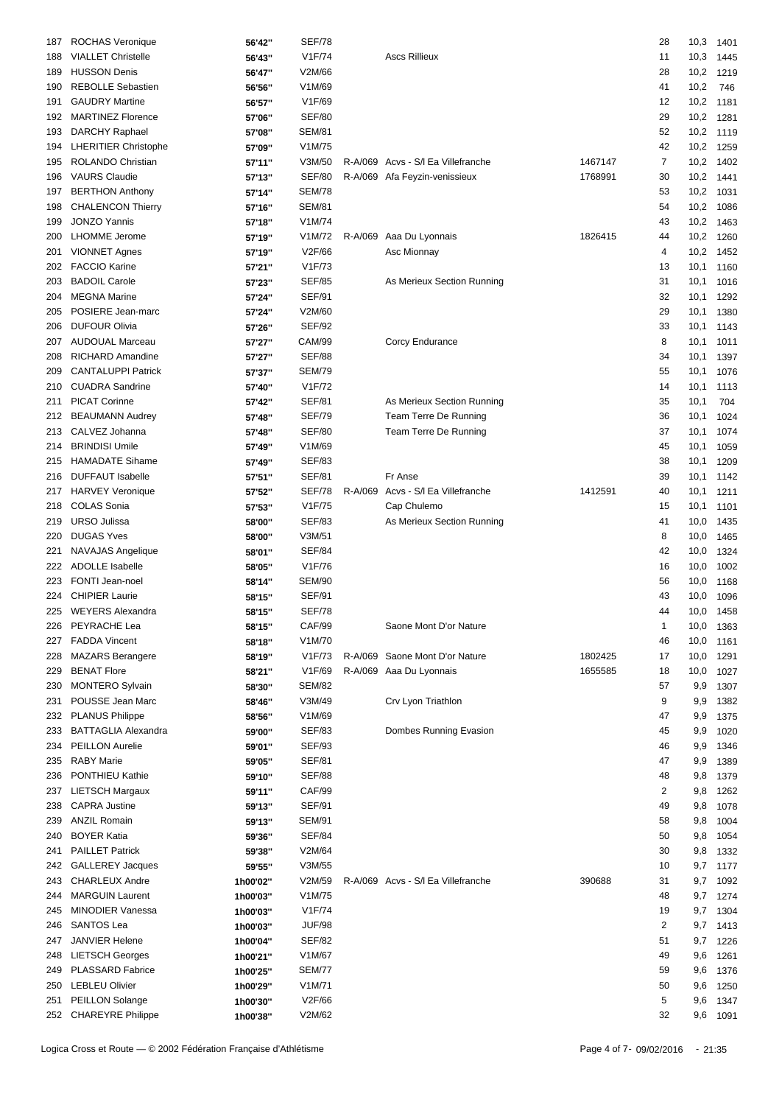| 187 | <b>ROCHAS Veronique</b>     | 56'42"   | <b>SEF/78</b> |         |                                    |         | 28             | 10,3 | 1401      |
|-----|-----------------------------|----------|---------------|---------|------------------------------------|---------|----------------|------|-----------|
| 188 | <b>VIALLET Christelle</b>   | 56'43"   | V1F/74        |         | <b>Ascs Rillieux</b>               |         | 11             | 10,3 | 1445      |
| 189 | <b>HUSSON Denis</b>         | 56'47"   | V2M/66        |         |                                    |         | 28             | 10,2 | 1219      |
| 190 | <b>REBOLLE Sebastien</b>    | 56'56"   | V1M/69        |         |                                    |         | 41             | 10,2 | 746       |
| 191 | <b>GAUDRY Martine</b>       | 56'57"   | V1F/69        |         |                                    |         | 12             | 10,2 | 1181      |
| 192 | <b>MARTINEZ Florence</b>    | 57'06"   | <b>SEF/80</b> |         |                                    |         | 29             | 10,2 | 1281      |
| 193 | <b>DARCHY Raphael</b>       | 57'08"   | <b>SEM/81</b> |         |                                    |         | 52             | 10,2 | 1119      |
|     | <b>LHERITIER Christophe</b> |          | V1M/75        |         |                                    |         | 42             | 10,2 |           |
| 194 |                             | 57'09"   |               |         |                                    |         |                |      | 1259      |
| 195 | <b>ROLANDO Christian</b>    | 57'11"   | V3M/50        |         | R-A/069 Acvs - S/I Ea Villefranche | 1467147 | $\overline{7}$ | 10,2 | 1402      |
| 196 | <b>VAURS Claudie</b>        | 57'13"   | <b>SEF/80</b> |         | R-A/069 Afa Feyzin-venissieux      | 1768991 | 30             | 10,2 | 1441      |
| 197 | <b>BERTHON Anthony</b>      | 57'14"   | <b>SEM/78</b> |         |                                    |         | 53             | 10,2 | 1031      |
| 198 | <b>CHALENCON Thierry</b>    | 57'16"   | <b>SEM/81</b> |         |                                    |         | 54             | 10,2 | 1086      |
| 199 | <b>JONZO Yannis</b>         | 57'18"   | V1M/74        |         |                                    |         | 43             | 10,2 | 1463      |
| 200 | <b>LHOMME</b> Jerome        | 57'19"   | V1M/72        | R-A/069 | Aaa Du Lyonnais                    | 1826415 | 44             | 10,2 | 1260      |
| 201 | <b>VIONNET Agnes</b>        | 57'19"   | V2F/66        |         | Asc Mionnay                        |         | 4              | 10,2 | 1452      |
| 202 | <b>FACCIO Karine</b>        | 57'21"   | V1F/73        |         |                                    |         | 13             | 10,1 | 1160      |
| 203 | <b>BADOIL Carole</b>        | 57'23"   | <b>SEF/85</b> |         | As Merieux Section Running         |         | 31             | 10,1 | 1016      |
| 204 | <b>MEGNA Marine</b>         | 57'24"   | <b>SEF/91</b> |         |                                    |         | 32             | 10,1 | 1292      |
| 205 | POSIERE Jean-marc           | 57'24"   | V2M/60        |         |                                    |         | 29             | 10,1 | 1380      |
| 206 | <b>DUFOUR Olivia</b>        | 57'26"   | <b>SEF/92</b> |         |                                    |         | 33             | 10,1 | 1143      |
| 207 | <b>AUDOUAL Marceau</b>      | 57'27"   | <b>CAM/99</b> |         | Corcy Endurance                    |         | 8              | 10,1 | 1011      |
| 208 | <b>RICHARD Amandine</b>     | 57'27"   | <b>SEF/88</b> |         |                                    |         | 34             | 10,1 | 1397      |
| 209 | <b>CANTALUPPI Patrick</b>   | 57'37"   | <b>SEM/79</b> |         |                                    |         | 55             | 10,1 | 1076      |
| 210 | <b>CUADRA Sandrine</b>      | 57'40"   | V1F/72        |         |                                    |         | 14             | 10,1 |           |
|     |                             |          | <b>SEF/81</b> |         |                                    |         |                |      | 1113      |
| 211 | <b>PICAT Corinne</b>        | 57'42"   |               |         | As Merieux Section Running         |         | 35             | 10,1 | 704       |
| 212 | <b>BEAUMANN Audrey</b>      | 57'48"   | <b>SEF/79</b> |         | Team Terre De Running              |         | 36             | 10,1 | 1024      |
| 213 | CALVEZ Johanna              | 57'48"   | <b>SEF/80</b> |         | Team Terre De Running              |         | 37             | 10,1 | 1074      |
| 214 | <b>BRINDISI Umile</b>       | 57'49"   | V1M/69        |         |                                    |         | 45             | 10,1 | 1059      |
| 215 | <b>HAMADATE Sihame</b>      | 57'49"   | <b>SEF/83</b> |         |                                    |         | 38             | 10,1 | 1209      |
| 216 | <b>DUFFAUT Isabelle</b>     | 57'51"   | <b>SEF/81</b> |         | Fr Anse                            |         | 39             | 10,1 | 1142      |
| 217 | <b>HARVEY Veronique</b>     | 57'52"   | <b>SEF/78</b> |         | R-A/069 Acvs - S/I Ea Villefranche | 1412591 | 40             | 10,1 | 1211      |
| 218 | <b>COLAS Sonia</b>          | 57'53"   | V1F/75        |         | Cap Chulemo                        |         | 15             | 10,1 | 1101      |
| 219 | <b>URSO Julissa</b>         | 58'00"   | <b>SEF/83</b> |         | As Merieux Section Running         |         | 41             | 10,0 | 1435      |
| 220 | <b>DUGAS Yves</b>           | 58'00"   | V3M/51        |         |                                    |         | 8              | 10,0 | 1465      |
| 221 | NAVAJAS Angelique           | 58'01"   | <b>SEF/84</b> |         |                                    |         | 42             | 10,0 | 1324      |
| 222 | <b>ADOLLE</b> Isabelle      | 58'05"   | V1F/76        |         |                                    |         | 16             | 10,0 | 1002      |
| 223 | FONTI Jean-noel             | 58'14"   | <b>SEM/90</b> |         |                                    |         | 56             | 10,0 | 1168      |
| 224 | <b>CHIPIER Laurie</b>       | 58'15"   | <b>SEF/91</b> |         |                                    |         | 43             | 10,0 | 1096      |
| 225 | <b>WEYERS Alexandra</b>     | 58'15"   | <b>SEF/78</b> |         |                                    |         | 44             |      | 10,0 1458 |
|     | 226 PEYRACHE Lea            | 58'15"   | CAF/99        |         | Saone Mont D'or Nature             |         | 1              |      | 10,0 1363 |
| 227 | <b>FADDA Vincent</b>        | 58'18"   | V1M/70        |         |                                    |         | 46             | 10,0 | 1161      |
| 228 | <b>MAZARS Berangere</b>     | 58'19"   | V1F/73        |         | R-A/069 Saone Mont D'or Nature     | 1802425 | 17             | 10,0 | 1291      |
|     | <b>BENAT Flore</b>          |          | V1F/69        |         | R-A/069 Aaa Du Lyonnais            | 1655585 | 18             |      |           |
| 229 | <b>MONTERO Sylvain</b>      | 58'21"   |               |         |                                    |         |                | 10,0 | 1027      |
| 230 |                             | 58'30"   | <b>SEM/82</b> |         |                                    |         | 57             | 9,9  | 1307      |
| 231 | POUSSE Jean Marc            | 58'46"   | V3M/49        |         | Crv Lyon Triathlon                 |         | 9              | 9,9  | 1382      |
| 232 | <b>PLANUS Philippe</b>      | 58'56"   | V1M/69        |         |                                    |         | 47             | 9,9  | 1375      |
| 233 | <b>BATTAGLIA Alexandra</b>  | 59'00"   | <b>SEF/83</b> |         | Dombes Running Evasion             |         | 45             | 9,9  | 1020      |
| 234 | PEILLON Aurelie             | 59'01"   | SEF/93        |         |                                    |         | 46             | 9,9  | 1346      |
| 235 | <b>RABY Marie</b>           | 59'05"   | <b>SEF/81</b> |         |                                    |         | 47             | 9,9  | 1389      |
| 236 | PONTHIEU Kathie             | 59'10"   | <b>SEF/88</b> |         |                                    |         | 48             | 9,8  | 1379      |
| 237 | <b>LIETSCH Margaux</b>      | 59'11"   | CAF/99        |         |                                    |         | 2              | 9,8  | 1262      |
| 238 | <b>CAPRA Justine</b>        | 59'13"   | <b>SEF/91</b> |         |                                    |         | 49             | 9,8  | 1078      |
| 239 | <b>ANZIL Romain</b>         | 59'13"   | <b>SEM/91</b> |         |                                    |         | 58             | 9,8  | 1004      |
| 240 | <b>BOYER Katia</b>          | 59'36"   | <b>SEF/84</b> |         |                                    |         | 50             | 9,8  | 1054      |
| 241 | <b>PAILLET Patrick</b>      | 59'38"   | V2M/64        |         |                                    |         | 30             | 9,8  | 1332      |
| 242 | <b>GALLEREY Jacques</b>     | 59'55"   | V3M/55        |         |                                    |         | 10             | 9,7  | 1177      |
| 243 | <b>CHARLEUX Andre</b>       | 1h00'02" | V2M/59        |         | R-A/069 Acvs - S/I Ea Villefranche | 390688  | 31             | 9,7  | 1092      |
| 244 | <b>MARGUIN Laurent</b>      | 1h00'03" | V1M/75        |         |                                    |         | 48             | 9,7  | 1274      |
| 245 | <b>MINODIER Vanessa</b>     | 1h00'03" | V1F/74        |         |                                    |         | 19             | 9,7  | 1304      |
| 246 | SANTOS Lea                  | 1h00'03" | <b>JUF/98</b> |         |                                    |         | 2              | 9,7  | 1413      |
| 247 | <b>JANVIER Helene</b>       | 1h00'04" | <b>SEF/82</b> |         |                                    |         | 51             | 9,7  | 1226      |
| 248 | <b>LIETSCH Georges</b>      | 1h00'21" | V1M/67        |         |                                    |         | 49             | 9,6  | 1261      |
|     |                             |          |               |         |                                    |         |                |      |           |
| 249 | PLASSARD Fabrice            | 1h00'25" | <b>SEM/77</b> |         |                                    |         | 59             | 9,6  | 1376      |
| 250 | <b>LEBLEU Olivier</b>       | 1h00'29" | V1M/71        |         |                                    |         | 50             | 9,6  | 1250      |
| 251 | PEILLON Solange             | 1h00'30" | V2F/66        |         |                                    |         | 5              | 9,6  | 1347      |
| 252 | <b>CHAREYRE Philippe</b>    | 1h00'38" | V2M/62        |         |                                    |         | 32             | 9,6  | 1091      |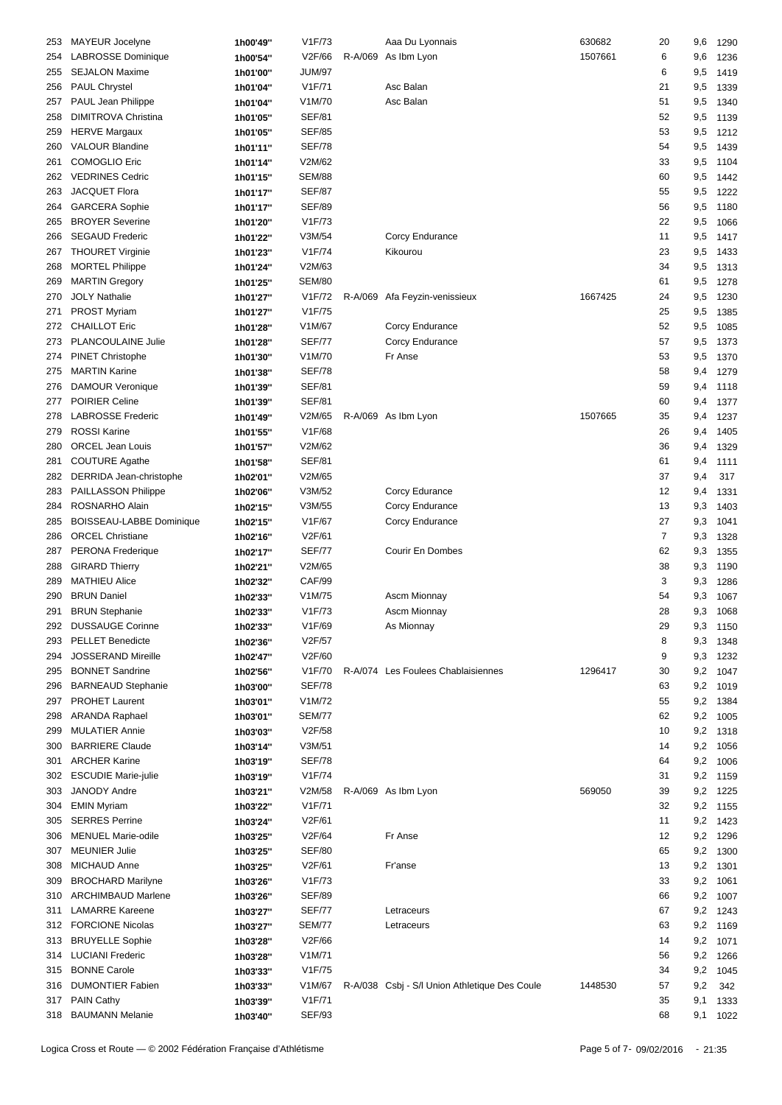| 253 | MAYEUR Jocelyne                 | 1h00'49" | V1F/73              | Aaa Du Lyonnais                               | 630682  | 20             | 9,6 | 1290     |
|-----|---------------------------------|----------|---------------------|-----------------------------------------------|---------|----------------|-----|----------|
| 254 | LABROSSE Dominique              | 1h00'54" | V2F/66              | R-A/069 As Ibm Lyon                           | 1507661 | 6              | 9,6 | 1236     |
| 255 | <b>SEJALON Maxime</b>           | 1h01'00" | <b>JUM/97</b>       |                                               |         | 6              | 9,5 | 1419     |
| 256 | <b>PAUL Chrystel</b>            | 1h01'04" | V1F/71              | Asc Balan                                     |         | 21             | 9,5 | 1339     |
|     |                                 |          |                     |                                               |         |                |     |          |
| 257 | PAUL Jean Philippe              | 1h01'04" | V1M/70              | Asc Balan                                     |         | 51             | 9,5 | 1340     |
| 258 | <b>DIMITROVA Christina</b>      | 1h01'05" | <b>SEF/81</b>       |                                               |         | 52             | 9,5 | 1139     |
| 259 | <b>HERVE Margaux</b>            | 1h01'05" | <b>SEF/85</b>       |                                               |         | 53             | 9,5 | 1212     |
| 260 | <b>VALOUR Blandine</b>          | 1h01'11" | <b>SEF/78</b>       |                                               |         | 54             | 9,5 | 1439     |
| 261 | <b>COMOGLIO Eric</b>            | 1h01'14" | V2M/62              |                                               |         | 33             | 9,5 | 1104     |
| 262 | <b>VEDRINES Cedric</b>          | 1h01'15" | <b>SEM/88</b>       |                                               |         | 60             | 9,5 | 1442     |
| 263 | <b>JACQUET Flora</b>            | 1h01'17" | <b>SEF/87</b>       |                                               |         | 55             | 9,5 | 1222     |
|     |                                 |          |                     |                                               |         |                |     |          |
| 264 | <b>GARCERA Sophie</b>           | 1h01'17" | <b>SEF/89</b>       |                                               |         | 56             | 9,5 | 1180     |
| 265 | <b>BROYER Severine</b>          | 1h01'20" | V1F/73              |                                               |         | 22             | 9,5 | 1066     |
| 266 | <b>SEGAUD Frederic</b>          | 1h01'22" | V3M/54              | Corcy Endurance                               |         | 11             | 9,5 | 1417     |
| 267 | <b>THOURET Virginie</b>         | 1h01'23" | V1F/74              | Kikourou                                      |         | 23             | 9,5 | 1433     |
| 268 | <b>MORTEL Philippe</b>          | 1h01'24" | V2M/63              |                                               |         | 34             | 9,5 | 1313     |
| 269 | <b>MARTIN Gregory</b>           | 1h01'25" | <b>SEM/80</b>       |                                               |         | 61             | 9,5 | 1278     |
| 270 | <b>JOLY Nathalie</b>            | 1h01'27" | V <sub>1</sub> F/72 | R-A/069 Afa Feyzin-venissieux                 | 1667425 | 24             | 9,5 | 1230     |
|     |                                 |          |                     |                                               |         |                |     |          |
| 271 | <b>PROST Myriam</b>             | 1h01'27" | V1F/75              |                                               |         | 25             | 9,5 | 1385     |
| 272 | <b>CHAILLOT Eric</b>            | 1h01'28" | V1M/67              | Corcy Endurance                               |         | 52             | 9,5 | 1085     |
| 273 | PLANCOULAINE Julie              | 1h01'28" | <b>SEF/77</b>       | Corcy Endurance                               |         | 57             | 9,5 | 1373     |
| 274 | <b>PINET Christophe</b>         | 1h01'30" | V1M/70              | Fr Anse                                       |         | 53             | 9,5 | 1370     |
| 275 | <b>MARTIN Karine</b>            | 1h01'38" | <b>SEF/78</b>       |                                               |         | 58             | 9,4 | 1279     |
| 276 | <b>DAMOUR Veronique</b>         | 1h01'39" | <b>SEF/81</b>       |                                               |         | 59             | 9,4 | 1118     |
| 277 | POIRIER Celine                  | 1h01'39" | <b>SEF/81</b>       |                                               |         | 60             | 9,4 | 1377     |
|     | <b>LABROSSE Frederic</b>        |          |                     |                                               | 1507665 |                |     |          |
| 278 |                                 | 1h01'49" | V2M/65              | R-A/069 As Ibm Lyon                           |         | 35             | 9,4 | 1237     |
| 279 | <b>ROSSI Karine</b>             | 1h01'55" | V1F/68              |                                               |         | 26             | 9,4 | 1405     |
| 280 | <b>ORCEL Jean Louis</b>         | 1h01'57" | V2M/62              |                                               |         | 36             | 9,4 | 1329     |
| 281 | <b>COUTURE Agathe</b>           | 1h01'58" | <b>SEF/81</b>       |                                               |         | 61             | 9,4 | 1111     |
| 282 | DERRIDA Jean-christophe         | 1h02'01" | V2M/65              |                                               |         | 37             | 9,4 | 317      |
| 283 | PAILLASSON Philippe             | 1h02'06" | V3M/52              | Corcy Edurance                                |         | 12             | 9,4 | 1331     |
| 284 | ROSNARHO Alain                  | 1h02'15" | V3M/55              | Corcy Endurance                               |         | 13             | 9,3 | 1403     |
| 285 | <b>BOISSEAU-LABBE Dominique</b> | 1h02'15" | V1F/67              | Corcy Endurance                               |         | 27             | 9,3 | 1041     |
|     |                                 |          |                     |                                               |         |                |     |          |
| 286 | <b>ORCEL Christiane</b>         | 1h02'16" | V2F/61              |                                               |         | $\overline{7}$ | 9,3 | 1328     |
| 287 | PERONA Frederique               | 1h02'17" | <b>SEF/77</b>       | Courir En Dombes                              |         | 62             | 9,3 | 1355     |
| 288 | <b>GIRARD Thierry</b>           | 1h02'21" | V2M/65              |                                               |         | 38             | 9,3 | 1190     |
| 289 | <b>MATHIEU Alice</b>            | 1h02'32" | CAF/99              |                                               |         | 3              | 9,3 | 1286     |
| 290 | <b>BRUN Daniel</b>              | 1h02'33" | V1M/75              | Ascm Mionnay                                  |         | 54             | 9,3 | 1067     |
| 291 | <b>BRUN Stephanie</b>           | 1h02'33" | V1F/73              | Ascm Mionnay                                  |         | 28             | 9,3 | 1068     |
|     | 292 DUSSAUGE Corinne            | 1h02'33" | V1F/69              | As Mionnay                                    |         | 29             |     | 9,3 1150 |
|     |                                 |          |                     |                                               |         |                |     |          |
| 293 | <b>PELLET Benedicte</b>         | 1h02'36" | V2F/57              |                                               |         | 8              | 9,3 | 1348     |
| 294 | <b>JOSSERAND Mireille</b>       | 1h02'47" | V2F/60              |                                               |         | 9              | 9,3 | 1232     |
| 295 | <b>BONNET Sandrine</b>          | 1h02'56" | V1F/70              | R-A/074 Les Foulees Chablaisiennes            | 1296417 | 30             | 9,2 | 1047     |
| 296 | <b>BARNEAUD Stephanie</b>       | 1h03'00" | <b>SEF/78</b>       |                                               |         | 63             | 9,2 | 1019     |
| 297 | <b>PROHET Laurent</b>           | 1h03'01" | V1M/72              |                                               |         | 55             | 9,2 | 1384     |
| 298 | <b>ARANDA Raphael</b>           | 1h03'01" | SEM/77              |                                               |         | 62             | 9,2 | 1005     |
| 299 | <b>MULATIER Annie</b>           | 1h03'03" | V2F/58              |                                               |         | 10             | 9,2 | 1318     |
|     |                                 |          |                     |                                               |         | 14             | 9,2 |          |
| 300 | <b>BARRIERE Claude</b>          | 1h03'14" | V3M/51              |                                               |         |                |     | 1056     |
| 301 | <b>ARCHER Karine</b>            | 1h03'19" | SEF/78              |                                               |         | 64             | 9,2 | 1006     |
| 302 | <b>ESCUDIE Marie-julie</b>      | 1h03'19" | V1F/74              |                                               |         | 31             | 9,2 | 1159     |
| 303 | JANODY Andre                    | 1h03'21" | V2M/58              | R-A/069 As Ibm Lyon                           | 569050  | 39             | 9,2 | 1225     |
| 304 | <b>EMIN Myriam</b>              | 1h03'22" | V1F/71              |                                               |         | 32             | 9,2 | 1155     |
| 305 | <b>SERRES Perrine</b>           | 1h03'24" | V2F/61              |                                               |         | 11             | 9,2 | 1423     |
| 306 | <b>MENUEL Marie-odile</b>       | 1h03'25" | V2F/64              | Fr Anse                                       |         | 12             | 9,2 | 1296     |
|     | <b>MEUNIER Julie</b>            |          |                     |                                               |         | 65             |     |          |
| 307 |                                 | 1h03'25" | <b>SEF/80</b>       |                                               |         |                | 9,2 | 1300     |
| 308 | MICHAUD Anne                    | 1h03'25" | V2F/61              | Fr'anse                                       |         | 13             | 9,2 | 1301     |
| 309 | <b>BROCHARD Marilyne</b>        | 1h03'26" | V1F/73              |                                               |         | 33             | 9,2 | 1061     |
| 310 | <b>ARCHIMBAUD Marlene</b>       | 1h03'26" | <b>SEF/89</b>       |                                               |         | 66             | 9,2 | 1007     |
| 311 | <b>LAMARRE Kareene</b>          | 1h03'27" | <b>SEF/77</b>       | Letraceurs                                    |         | 67             | 9,2 | 1243     |
| 312 | <b>FORCIONE Nicolas</b>         | 1h03'27" | <b>SEM/77</b>       | Letraceurs                                    |         | 63             | 9,2 | 1169     |
| 313 | <b>BRUYELLE Sophie</b>          | 1h03'28" | V2F/66              |                                               |         | 14             | 9,2 | 1071     |
| 314 | <b>LUCIANI Frederic</b>         | 1h03'28" | V1M/71              |                                               |         | 56             | 9,2 | 1266     |
|     |                                 |          |                     |                                               |         |                |     |          |
| 315 | <b>BONNE Carole</b>             | 1h03'33" | V1F/75              |                                               |         | 34             | 9,2 | 1045     |
| 316 | <b>DUMONTIER Fabien</b>         | 1h03'33" | V1M/67              | R-A/038 Csbj - S/I Union Athletique Des Coule | 1448530 | 57             | 9,2 | 342      |
| 317 | <b>PAIN Cathy</b>               | 1h03'39" | V1F/71              |                                               |         | 35             | 9,1 | 1333     |
|     | 318 BAUMANN Melanie             | 1h03'40" | <b>SEF/93</b>       |                                               |         | 68             | 9,1 | 1022     |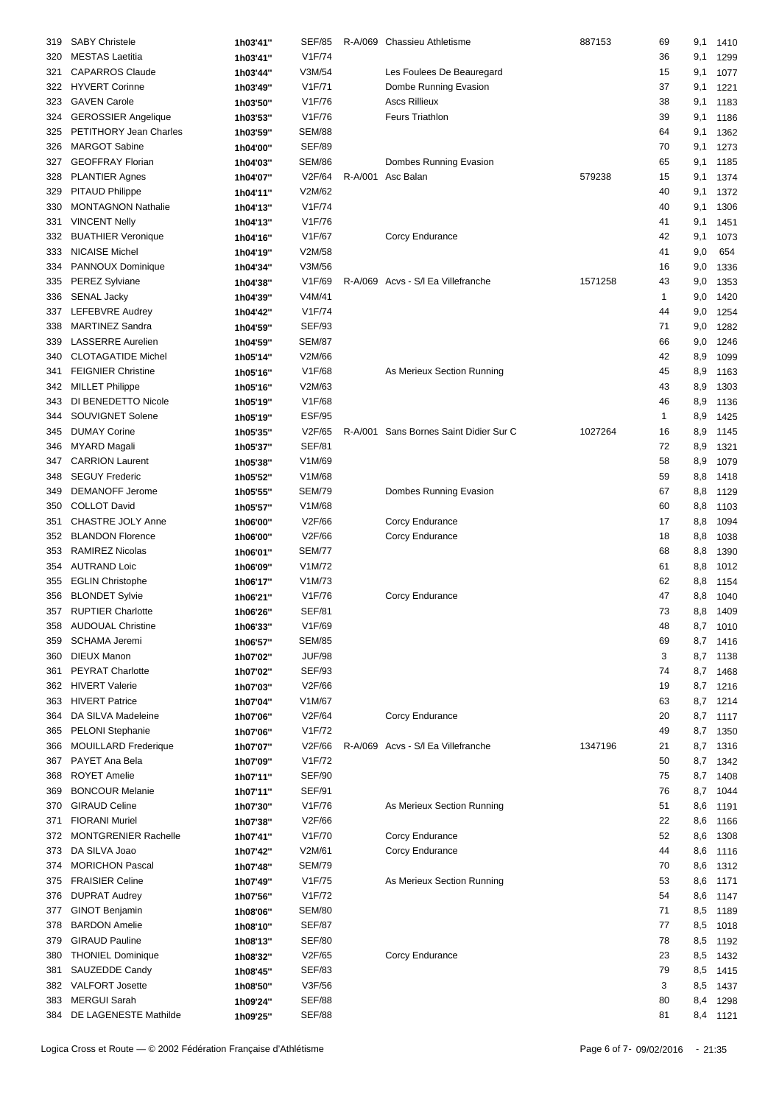| 319 | <b>SABY Christele</b>       | 1h03'41" | <b>SEF/85</b> |         | R-A/069 Chassieu Athletisme            | 887153  | 69 | 9,1      | 1410     |
|-----|-----------------------------|----------|---------------|---------|----------------------------------------|---------|----|----------|----------|
| 320 | <b>MESTAS Laetitia</b>      |          | V1F/74        |         |                                        |         | 36 | 9,1      | 1299     |
|     |                             | 1h03'41" |               |         |                                        |         |    |          |          |
| 321 | <b>CAPARROS Claude</b>      | 1h03'44" | V3M/54        |         | Les Foulees De Beauregard              |         | 15 | 9,1      | 1077     |
| 322 | <b>HYVERT Corinne</b>       | 1h03'49" | V1F/71        |         | Dombe Running Evasion                  |         | 37 | 9,1      | 1221     |
| 323 | <b>GAVEN Carole</b>         | 1h03'50" | V1F/76        |         | <b>Ascs Rillieux</b>                   |         | 38 | 9,1      | 1183     |
| 324 | <b>GEROSSIER Angelique</b>  | 1h03'53" | V1F/76        |         | <b>Feurs Triathlon</b>                 |         | 39 | 9,1      | 1186     |
| 325 | PETITHORY Jean Charles      |          | <b>SEM/88</b> |         |                                        |         | 64 | 9,1      |          |
|     |                             | 1h03'59" |               |         |                                        |         |    |          | 1362     |
| 326 | <b>MARGOT Sabine</b>        | 1h04'00" | <b>SEF/89</b> |         |                                        |         | 70 | 9,1      | 1273     |
| 327 | <b>GEOFFRAY Florian</b>     | 1h04'03" | <b>SEM/86</b> |         | Dombes Running Evasion                 |         | 65 | 9,1      | 1185     |
| 328 | <b>PLANTIER Agnes</b>       | 1h04'07" | V2F/64        | R-A/001 | Asc Balan                              | 579238  | 15 | 9,1      | 1374     |
| 329 | PITAUD Philippe             | 1h04'11" | V2M/62        |         |                                        |         | 40 | 9,1      | 1372     |
| 330 | <b>MONTAGNON Nathalie</b>   |          | V1F/74        |         |                                        |         | 40 | 9,1      | 1306     |
|     |                             | 1h04'13" |               |         |                                        |         |    |          |          |
| 331 | <b>VINCENT Nelly</b>        | 1h04'13" | V1F/76        |         |                                        |         | 41 | 9,1      | 1451     |
| 332 | <b>BUATHIER Veronique</b>   | 1h04'16" | V1F/67        |         | Corcy Endurance                        |         | 42 | 9,1      | 1073     |
| 333 | <b>NICAISE Michel</b>       | 1h04'19" | V2M/58        |         |                                        |         | 41 | 9,0      | 654      |
| 334 | <b>PANNOUX Dominique</b>    | 1h04'34" | V3M/56        |         |                                        |         | 16 | 9,0      | 1336     |
| 335 | <b>PEREZ Sylviane</b>       | 1h04'38" | V1F/69        |         | R-A/069 Acvs - S/I Ea Villefranche     | 1571258 | 43 | 9,0      | 1353     |
|     |                             |          |               |         |                                        |         |    |          |          |
| 336 | <b>SENAL Jacky</b>          | 1h04'39" | V4M/41        |         |                                        |         | 1  | 9,0      | 1420     |
| 337 | LEFEBVRE Audrey             | 1h04'42" | V1F/74        |         |                                        |         | 44 | 9,0      | 1254     |
| 338 | <b>MARTINEZ Sandra</b>      | 1h04'59" | <b>SEF/93</b> |         |                                        |         | 71 | 9,0      | 1282     |
| 339 | <b>LASSERRE Aurelien</b>    | 1h04'59" | <b>SEM/87</b> |         |                                        |         | 66 | 9,0      | 1246     |
| 340 | <b>CLOTAGATIDE Michel</b>   | 1h05'14" | V2M/66        |         |                                        |         | 42 | 8,9      | 1099     |
|     |                             |          |               |         |                                        |         |    |          |          |
| 341 | <b>FEIGNIER Christine</b>   | 1h05'16" | V1F/68        |         | As Merieux Section Running             |         | 45 | 8,9      | 1163     |
| 342 | <b>MILLET Philippe</b>      | 1h05'16" | V2M/63        |         |                                        |         | 43 | 8,9      | 1303     |
| 343 | DI BENEDETTO Nicole         | 1h05'19" | V1F/68        |         |                                        |         | 46 | 8,9      | 1136     |
| 344 | SOUVIGNET Solene            | 1h05'19" | <b>ESF/95</b> |         |                                        |         | 1  | 8,9      | 1425     |
| 345 | <b>DUMAY Corine</b>         | 1h05'35" | V2F/65        |         | R-A/001 Sans Bornes Saint Didier Sur C | 1027264 | 16 | 8,9      | 1145     |
|     |                             |          |               |         |                                        |         |    |          |          |
| 346 | <b>MYARD Magali</b>         | 1h05'37" | <b>SEF/81</b> |         |                                        |         | 72 | 8,9      | 1321     |
| 347 | <b>CARRION Laurent</b>      | 1h05'38" | V1M/69        |         |                                        |         | 58 | 8,9      | 1079     |
| 348 | <b>SEGUY Frederic</b>       | 1h05'52" | V1M/68        |         |                                        |         | 59 | 8,8      | 1418     |
| 349 | <b>DEMANOFF Jerome</b>      | 1h05'55" | <b>SEM/79</b> |         | Dombes Running Evasion                 |         | 67 | 8,8      | 1129     |
| 350 | <b>COLLOT David</b>         | 1h05'57" | V1M/68        |         |                                        |         | 60 | 8,8      | 1103     |
|     | <b>CHASTRE JOLY Anne</b>    |          | V2F/66        |         |                                        |         |    |          |          |
| 351 |                             | 1h06'00" |               |         | Corcy Endurance                        |         | 17 | 8,8      | 1094     |
| 352 | <b>BLANDON Florence</b>     | 1h06'00" | V2F/66        |         | Corcy Endurance                        |         | 18 | 8,8      | 1038     |
| 353 | <b>RAMIREZ Nicolas</b>      | 1h06'01" | <b>SEM/77</b> |         |                                        |         | 68 | 8,8      | 1390     |
| 354 | <b>AUTRAND Loic</b>         | 1h06'09" | V1M/72        |         |                                        |         | 61 | 8,8      | 1012     |
| 355 | <b>EGLIN Christophe</b>     | 1h06'17" | V1M/73        |         |                                        |         | 62 | 8,8      | 1154     |
|     |                             |          | V1F/76        |         | Corcy Endurance                        |         | 47 | 8,8      |          |
| 356 | <b>BLONDET Sylvie</b>       | 1h06'21" |               |         |                                        |         |    |          | 1040     |
| 357 | <b>RUPTIER Charlotte</b>    | 1h06'26" | <b>SEF/81</b> |         |                                        |         | 73 | 8,8      | 1409     |
| 358 | AUDOUAL Christine           | 1h06'33" | V1F/69        |         |                                        |         | 48 |          | 8,7 1010 |
| 359 | SCHAMA Jeremi               | 1h06'57" | <b>SEM/85</b> |         |                                        |         | 69 |          | 8,7 1416 |
| 360 | <b>DIEUX Manon</b>          | 1h07'02" | <b>JUF/98</b> |         |                                        |         | 3  |          | 8,7 1138 |
|     | PEYRAT Charlotte            |          | <b>SEF/93</b> |         |                                        |         | 74 |          |          |
| 361 |                             | 1h07'02" |               |         |                                        |         |    |          | 8,7 1468 |
| 362 | <b>HIVERT Valerie</b>       | 1h07'03" | V2F/66        |         |                                        |         | 19 |          | 8,7 1216 |
| 363 | <b>HIVERT Patrice</b>       | 1h07'04" | V1M/67        |         |                                        |         | 63 |          | 8,7 1214 |
| 364 | DA SILVA Madeleine          | 1h07'06" | V2F/64        |         | Corcy Endurance                        |         | 20 |          | 8,7 1117 |
| 365 | <b>PELONI</b> Stephanie     | 1h07'06" | V1F/72        |         |                                        |         | 49 |          | 8,7 1350 |
| 366 | <b>MOUILLARD Frederique</b> | 1h07'07" | V2F/66        |         | R-A/069 Acvs - S/I Ea Villefranche     | 1347196 | 21 |          | 8,7 1316 |
|     |                             |          |               |         |                                        |         |    |          |          |
| 367 | PAYET Ana Bela              | 1h07'09" | V1F/72        |         |                                        |         | 50 | 8,7      | 1342     |
| 368 | <b>ROYET Amelie</b>         | 1h07'11" | <b>SEF/90</b> |         |                                        |         | 75 | 8,7      | 1408     |
| 369 | <b>BONCOUR Melanie</b>      | 1h07'11" | <b>SEF/91</b> |         |                                        |         | 76 | 8,7      | 1044     |
| 370 | <b>GIRAUD Celine</b>        | 1h07'30" | V1F/76        |         | As Merieux Section Running             |         | 51 |          | 8,6 1191 |
| 371 | <b>FIORANI Muriel</b>       | 1h07'38" | V2F/66        |         |                                        |         | 22 | 8,6      | 1166     |
|     |                             |          |               |         |                                        |         |    |          |          |
| 372 | <b>MONTGRENIER Rachelle</b> | 1h07'41" | V1F/70        |         | Corcy Endurance                        |         | 52 |          | 8,6 1308 |
| 373 | DA SILVA Joao               | 1h07'42" | V2M/61        |         | Corcy Endurance                        |         | 44 |          | 8,6 1116 |
| 374 | <b>MORICHON Pascal</b>      | 1h07'48" | <b>SEM/79</b> |         |                                        |         | 70 |          | 8,6 1312 |
| 375 | <b>FRAISIER Celine</b>      | 1h07'49" | V1F/75        |         | As Merieux Section Running             |         | 53 | 8,6 1171 |          |
| 376 | <b>DUPRAT Audrey</b>        | 1h07'56" | V1F/72        |         |                                        |         | 54 |          | 8,6 1147 |
|     |                             |          |               |         |                                        |         |    |          |          |
| 377 | GINOT Benjamin              | 1h08'06" | <b>SEM/80</b> |         |                                        |         | 71 |          | 8,5 1189 |
| 378 | <b>BARDON Amelie</b>        | 1h08'10" | <b>SEF/87</b> |         |                                        |         | 77 | 8,5      | 1018     |
| 379 | <b>GIRAUD Pauline</b>       | 1h08'13" | <b>SEF/80</b> |         |                                        |         | 78 |          | 8,5 1192 |
| 380 | <b>THONIEL Dominique</b>    | 1h08'32" | V2F/65        |         | Corcy Endurance                        |         | 23 |          | 8,5 1432 |
| 381 | SAUZEDDE Candy              |          | <b>SEF/83</b> |         |                                        |         | 79 |          | 8,5 1415 |
|     |                             | 1h08'45" |               |         |                                        |         |    |          |          |
| 382 | <b>VALFORT Josette</b>      | 1h08'50" | V3F/56        |         |                                        |         | 3  |          | 8,5 1437 |
| 383 | <b>MERGUI Sarah</b>         | 1h09'24" | <b>SEF/88</b> |         |                                        |         | 80 | 8,4      | 1298     |
|     | 384 DE LAGENESTE Mathilde   | 1h09'25" | <b>SEF/88</b> |         |                                        |         | 81 | 8,4 1121 |          |
|     |                             |          |               |         |                                        |         |    |          |          |